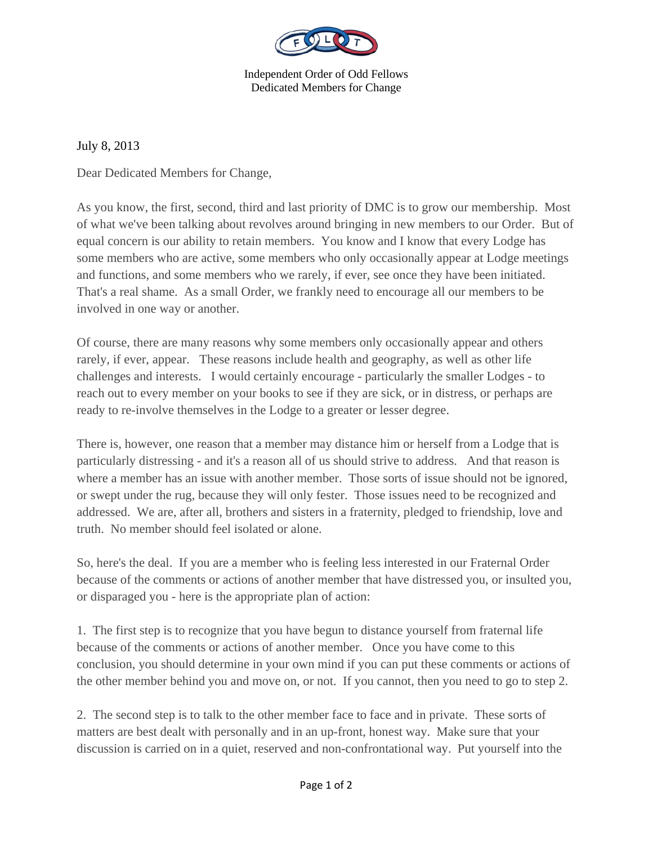

Independent Order of Odd Fellows Dedicated Members for Change

July 8, 2013

Dear Dedicated Members for Change,

As you know, the first, second, third and last priority of DMC is to grow our membership. Most of what we've been talking about revolves around bringing in new members to our Order. But of equal concern is our ability to retain members. You know and I know that every Lodge has some members who are active, some members who only occasionally appear at Lodge meetings and functions, and some members who we rarely, if ever, see once they have been initiated. That's a real shame. As a small Order, we frankly need to encourage all our members to be involved in one way or another.

Of course, there are many reasons why some members only occasionally appear and others rarely, if ever, appear. These reasons include health and geography, as well as other life challenges and interests. I would certainly encourage - particularly the smaller Lodges - to reach out to every member on your books to see if they are sick, or in distress, or perhaps are ready to re-involve themselves in the Lodge to a greater or lesser degree.

There is, however, one reason that a member may distance him or herself from a Lodge that is particularly distressing - and it's a reason all of us should strive to address. And that reason is where a member has an issue with another member. Those sorts of issue should not be ignored, or swept under the rug, because they will only fester. Those issues need to be recognized and addressed. We are, after all, brothers and sisters in a fraternity, pledged to friendship, love and truth. No member should feel isolated or alone.

So, here's the deal. If you are a member who is feeling less interested in our Fraternal Order because of the comments or actions of another member that have distressed you, or insulted you, or disparaged you - here is the appropriate plan of action:

1. The first step is to recognize that you have begun to distance yourself from fraternal life because of the comments or actions of another member. Once you have come to this conclusion, you should determine in your own mind if you can put these comments or actions of the other member behind you and move on, or not. If you cannot, then you need to go to step 2.

2. The second step is to talk to the other member face to face and in private. These sorts of matters are best dealt with personally and in an up-front, honest way. Make sure that your discussion is carried on in a quiet, reserved and non-confrontational way. Put yourself into the